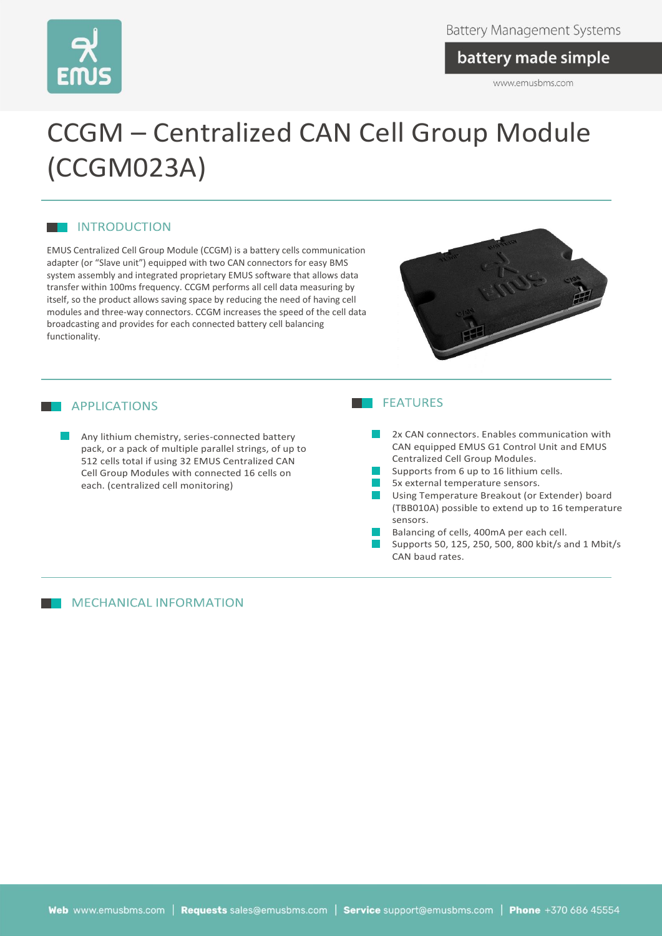

### battery made simple

www.emusbms.com

# CCGM – Centralized CAN Cell Group Module (CCGM023A)

#### **NO INTRODUCTION**

EMUS Centralized Cell Group Module (CCGM) is a battery cells communication adapter (or "Slave unit") equipped with two CAN connectors for easy BMS system assembly and integrated proprietary EMUS software that allows data transfer within 100ms frequency. CCGM performs all cell data measuring by itself, so the product allows saving space by reducing the need of having cell modules and three-way connectors. CCGM increases the speed of the cell data broadcasting and provides for each connected battery cell balancing functionality.



#### **APPLICATIONS**

Any lithium chemistry, series-connected battery pack, or a pack of multiple parallel strings, of up to 512 cells total if using 32 EMUS Centralized CAN Cell Group Modules with connected 16 cells on each. (centralized cell monitoring)

#### **MECHANICAL INFORMATION**

#### **THE FEATURES**

- 2x CAN connectors. Enables communication with CAN equipped EMUS G1 Control Unit and EMUS Centralized Cell Group Modules.
- Supports from 6 up to 16 lithium cells.
- 5x external temperature sensors.
- Using Temperature Breakout (or Extender) board (TBB010A) possible to extend up to 16 temperature sensors.
- Balancing of cells, 400mA per each cell.
- Supports 50, 125, 250, 500, 800 kbit/s and 1 Mbit/s CAN baud rates.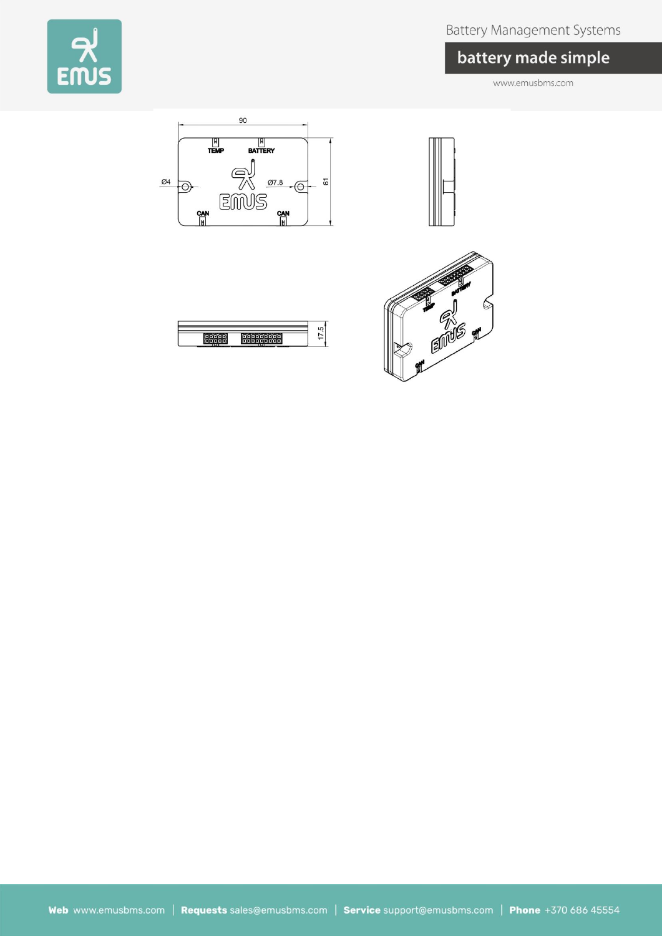

## **Battery Management Systems**

# battery made simple

www.emusbms.com



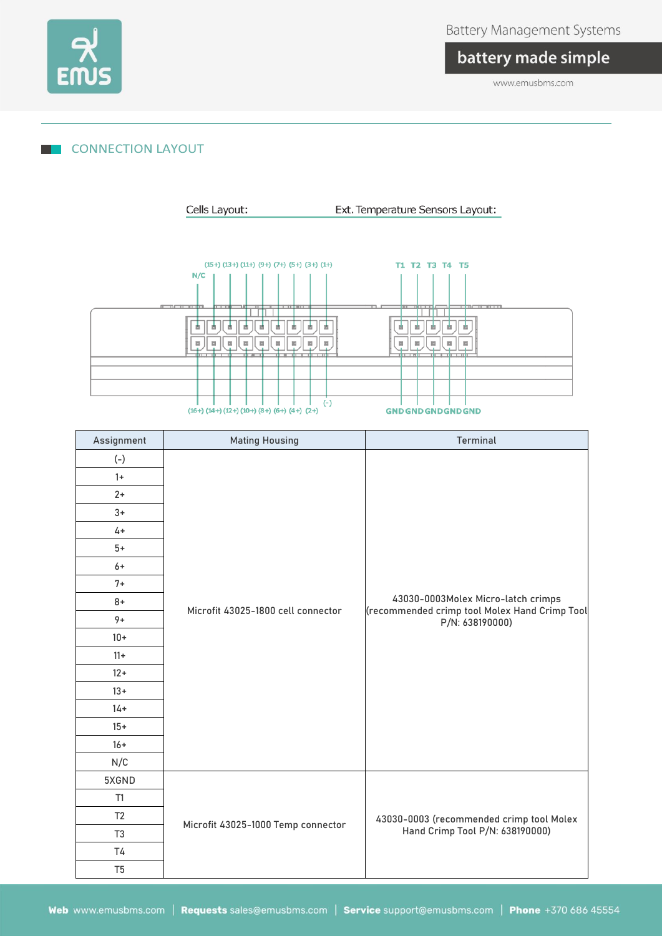

# battery made simple

www.emusbms.com

#### **CONNECTION LAYOUT**

Cells Layout: Ext. Temperature Sensors Layout:



| Assignment     | <b>Mating Housing</b>              | <b>Terminal</b>                                                                                        |  |
|----------------|------------------------------------|--------------------------------------------------------------------------------------------------------|--|
| $(-)$          |                                    |                                                                                                        |  |
| $1+$           | Microfit 43025-1800 cell connector |                                                                                                        |  |
| $2+$           |                                    |                                                                                                        |  |
| $3+$           |                                    |                                                                                                        |  |
| $4+$           |                                    |                                                                                                        |  |
| $5+$           |                                    |                                                                                                        |  |
| $6+$           |                                    |                                                                                                        |  |
| $7+$           |                                    |                                                                                                        |  |
| $8+$           |                                    | 43030-0003Molex Micro-latch crimps<br>(recommended crimp tool Molex Hand Crimp Tool<br>P/N: 638190000) |  |
| $9+$           |                                    |                                                                                                        |  |
| $10 +$         |                                    |                                                                                                        |  |
| $11+$          |                                    |                                                                                                        |  |
| $12+$          |                                    |                                                                                                        |  |
| $13+$          |                                    |                                                                                                        |  |
| $14 +$         |                                    |                                                                                                        |  |
| $15+$          |                                    |                                                                                                        |  |
| $16+$          |                                    |                                                                                                        |  |
| N/C            |                                    |                                                                                                        |  |
| 5XGND          |                                    |                                                                                                        |  |
| T1             |                                    |                                                                                                        |  |
| T <sub>2</sub> |                                    | 43030-0003 (recommended crimp tool Molex                                                               |  |
| T <sub>3</sub> | Microfit 43025-1000 Temp connector | Hand Crimp Tool P/N: 638190000)                                                                        |  |
| T <sub>4</sub> |                                    |                                                                                                        |  |
| T <sub>5</sub> |                                    |                                                                                                        |  |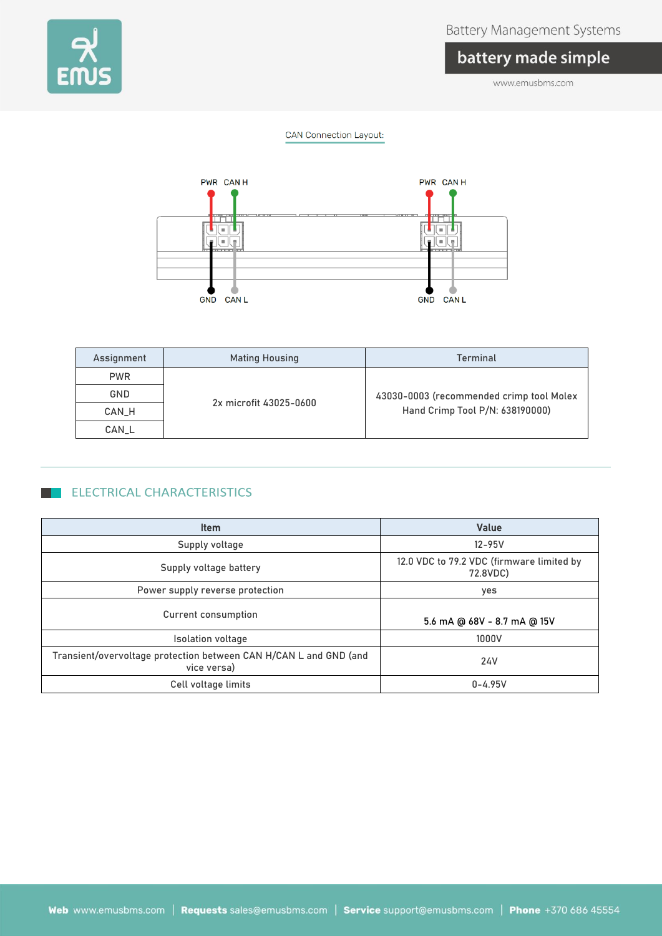

### **Battery Management Systems**

# battery made simple

www.emusbms.com

#### **CAN Connection Layout:**



| Assignment | <b>Mating Housing</b>  | Terminal                                                                    |  |
|------------|------------------------|-----------------------------------------------------------------------------|--|
| <b>PWR</b> |                        |                                                                             |  |
| GND        |                        | 43030-0003 (recommended crimp tool Molex<br>Hand Crimp Tool P/N: 638190000) |  |
| CAN_H      | 2x microfit 43025-0600 |                                                                             |  |
| CAN_L      |                        |                                                                             |  |

#### ELECTRICAL CHARACTERISTICS

| <b>Item</b>                                                                      | <b>Value</b>                                          |  |
|----------------------------------------------------------------------------------|-------------------------------------------------------|--|
| Supply voltage                                                                   | $12 - 95V$                                            |  |
| Supply voltage battery                                                           | 12.0 VDC to 79.2 VDC (firmware limited by<br>72.8VDC) |  |
| Power supply reverse protection                                                  | yes                                                   |  |
| <b>Current consumption</b>                                                       | 5.6 mA @ 68V - 8.7 mA @ 15V                           |  |
| <b>Isolation voltage</b>                                                         | 1000V                                                 |  |
| Transient/overvoltage protection between CAN H/CAN L and GND (and<br>vice versa) | 24V                                                   |  |
| Cell voltage limits                                                              | $0 - 4.95V$                                           |  |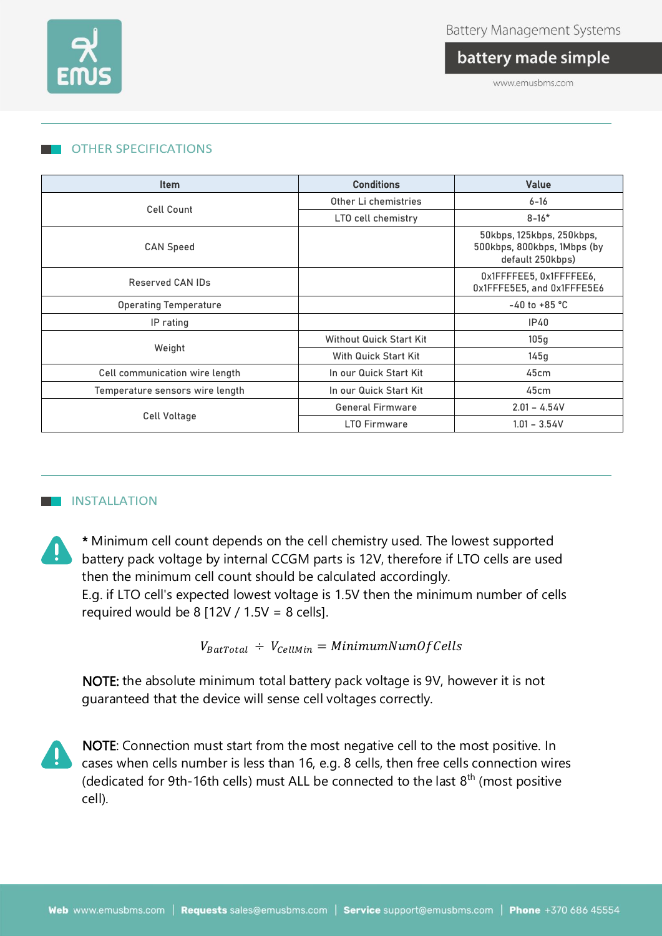

battery made simple

www.emusbms.com

#### OTHER SPECIFICATIONS

| <b>Item</b>                     | <b>Conditions</b>              | <b>Value</b>                                                                 |
|---------------------------------|--------------------------------|------------------------------------------------------------------------------|
|                                 | Other Li chemistries           | $6 - 16$                                                                     |
| <b>Cell Count</b>               | LTO cell chemistry             | $8 - 16*$                                                                    |
| <b>CAN Speed</b>                |                                | 50kbps, 125kbps, 250kbps,<br>500kbps, 800kbps, 1Mbps (by<br>default 250kbps) |
| Reserved CAN IDs                |                                | 0x1FFFFEE5, 0x1FFFFEE6,<br>0x1FFFE5E5, and 0x1FFFE5E6                        |
| <b>Operating Temperature</b>    |                                | $-40$ to $+85$ °C                                                            |
| IP rating                       |                                | IP40                                                                         |
| Weight                          | <b>Without Quick Start Kit</b> | 105g                                                                         |
|                                 | With Quick Start Kit           | 145g                                                                         |
| Cell communication wire length  | In our Quick Start Kit         | 45cm                                                                         |
| Temperature sensors wire length | In our Quick Start Kit         | 45cm                                                                         |
| Cell Voltage                    | <b>General Firmware</b>        | $2.01 - 4.54V$                                                               |
|                                 | <b>LTO Firmware</b>            | $1.01 - 3.54V$                                                               |

#### **THE INSTALLATION**

\* Minimum cell count depends on the cell chemistry used. The lowest supported battery pack voltage by internal CCGM parts is 12V, therefore if LTO cells are used then the minimum cell count should be calculated accordingly. E.g. if LTO cell's expected lowest voltage is 1.5V then the minimum number of cells required would be 8  $[12V / 1.5V = 8$  cells].

 $V_{BatTotal}$  ÷  $V_{cellMin}$  = MinimumNumOf Cells

NOTE: the absolute minimum total battery pack voltage is 9V, however it is not guaranteed that the device will sense cell voltages correctly.

NOTE: Connection must start from the most negative cell to the most positive. In cases when cells number is less than 16, e.g. 8 cells, then free cells connection wires (dedicated for 9th-16th cells) must ALL be connected to the last  $8<sup>th</sup>$  (most positive cell).